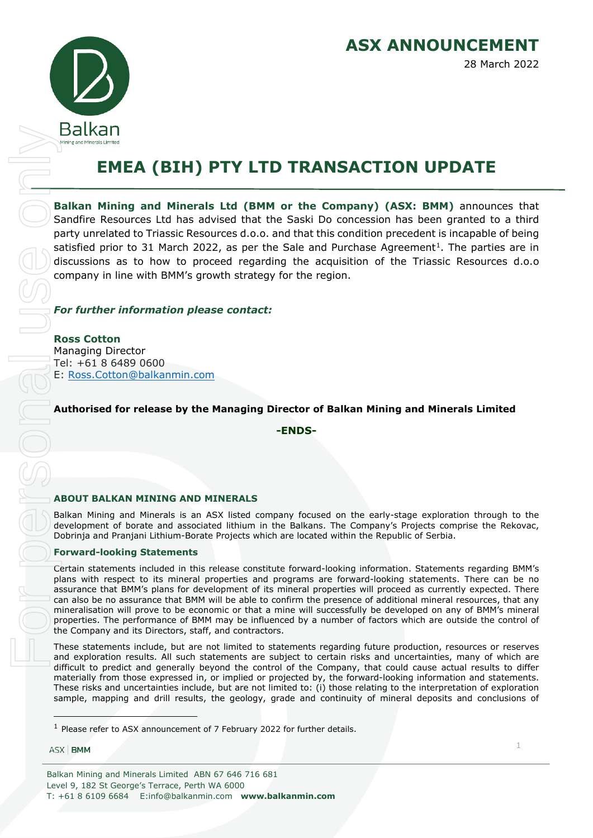

# **EMEA (BIH) PTY LTD TRANSACTION UPDATE**

**Balkan Mining and Minerals Ltd (BMM or the Company) (ASX: BMM)** announces that Sandfire Resources Ltd has advised that the Saski Do concession has been granted to a third party unrelated to Triassic Resources d.o.o. and that this condition precedent is incapable of being satisfied prior to 3[1](#page-0-0) March 2022, as per the Sale and Purchase Agreement<sup>1</sup>. The parties are in discussions as to how to proceed regarding the acquisition of the Triassic Resources d.o.o company in line with BMM's growth strategy for the region. **EXAMPLE TO THE CONSTRANT CONDUCTS AND THE CONSTRANT CONDUCTS (SEE THE SAMPLE TO THE SAMPLE TO THE SAMPLE TO THE CONSTRANT CONDUCTS (SEE THE SAMPLE TO A THAT AND STRANT CONDUCTS (SEE THE SAMPLE TO THE SAMPLE TO THE SAMPLE** 

## *For further information please contact:*

**Ross Cotton** Managing Director Tel: +61 8 6489 0600 E: [Ross.Cotton@balkanmin.com](mailto:Ross.Cotton@balkanmin.com)

## **Authorised for release by the Managing Director of Balkan Mining and Minerals Limited**

**-ENDS-**

#### **ABOUT BALKAN MINING AND MINERALS**

Balkan Mining and Minerals is an ASX listed company focused on the early-stage exploration through to the development of borate and associated lithium in the Balkans. The Company's Projects comprise the Rekovac, Dobrinja and Pranjani Lithium-Borate Projects which are located within the Republic of Serbia.

#### **Forward-looking Statements**

Certain statements included in this release constitute forward-looking information. Statements regarding BMM's plans with respect to its mineral properties and programs are forward-looking statements. There can be no assurance that BMM's plans for development of its mineral properties will proceed as currently expected. There can also be no assurance that BMM will be able to confirm the presence of additional mineral resources, that any mineralisation will prove to be economic or that a mine will successfully be developed on any of BMM's mineral properties. The performance of BMM may be influenced by a number of factors which are outside the control of the Company and its Directors, staff, and contractors.

These statements include, but are not limited to statements regarding future production, resources or reserves and exploration results. All such statements are subject to certain risks and uncertainties, many of which are difficult to predict and generally beyond the control of the Company, that could cause actual results to differ materially from those expressed in, or implied or projected by, the forward-looking information and statements. These risks and uncertainties include, but are not limited to: (i) those relating to the interpretation of exploration sample, mapping and drill results, the geology, grade and continuity of mineral deposits and conclusions of

ASX BMM

<span id="page-0-0"></span>